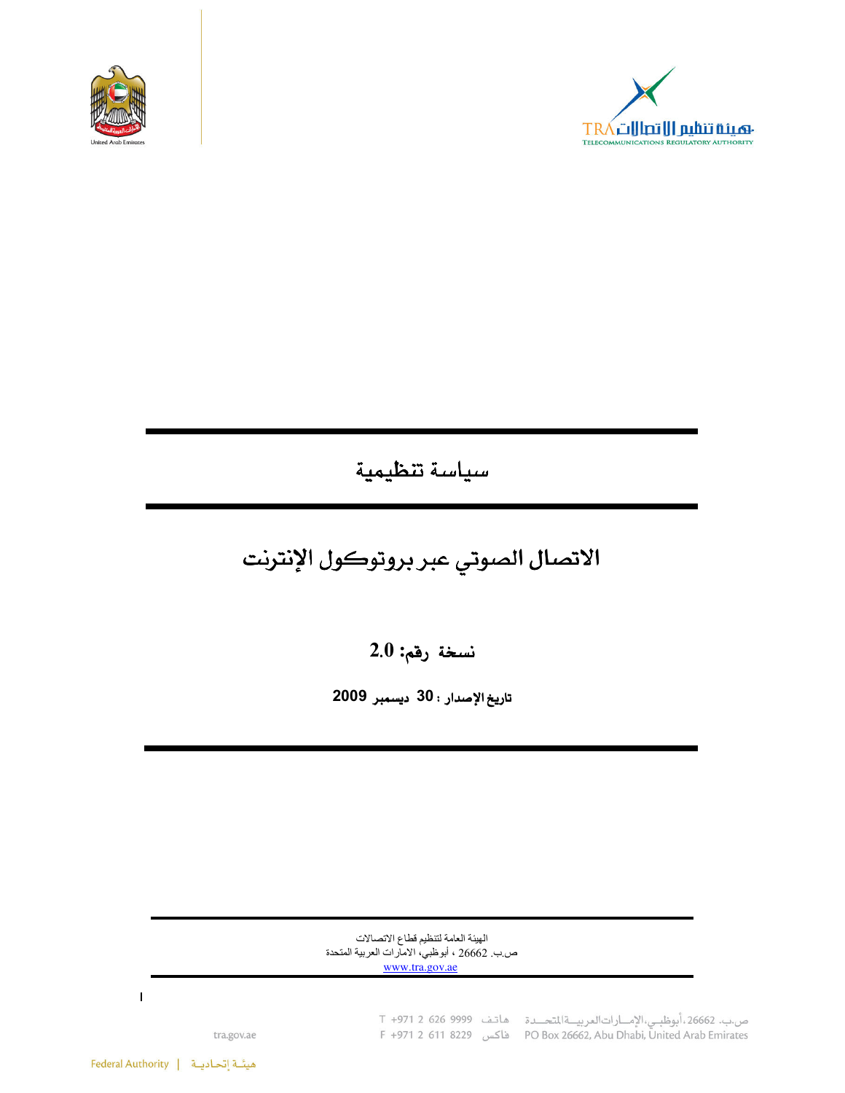



## سياسة تنظيمية

# الاتصال الصوتي عبر بروتوكول الإنترنت

نسخة رقم: 2.0

تاريخ الإصدار : 30 ديسمبر 2009

الهيئة العامة لتنظيم قطاع الاتصالات ص.ب. 26662 ، أبوظبي، الامارات العربية المتحدة www.tra.gov.ae

ص.ب. 26662،أبوظبـي،الإمـــارات|لعربيـــة|لمتحـــدة هـاتـف 9999 966 1 1+971<br>PO Box 26662, Abu Dhabi, United Arab Emirates فاكس 18229 1971 19829

tra.gov.ae

 $\mathbf{I}$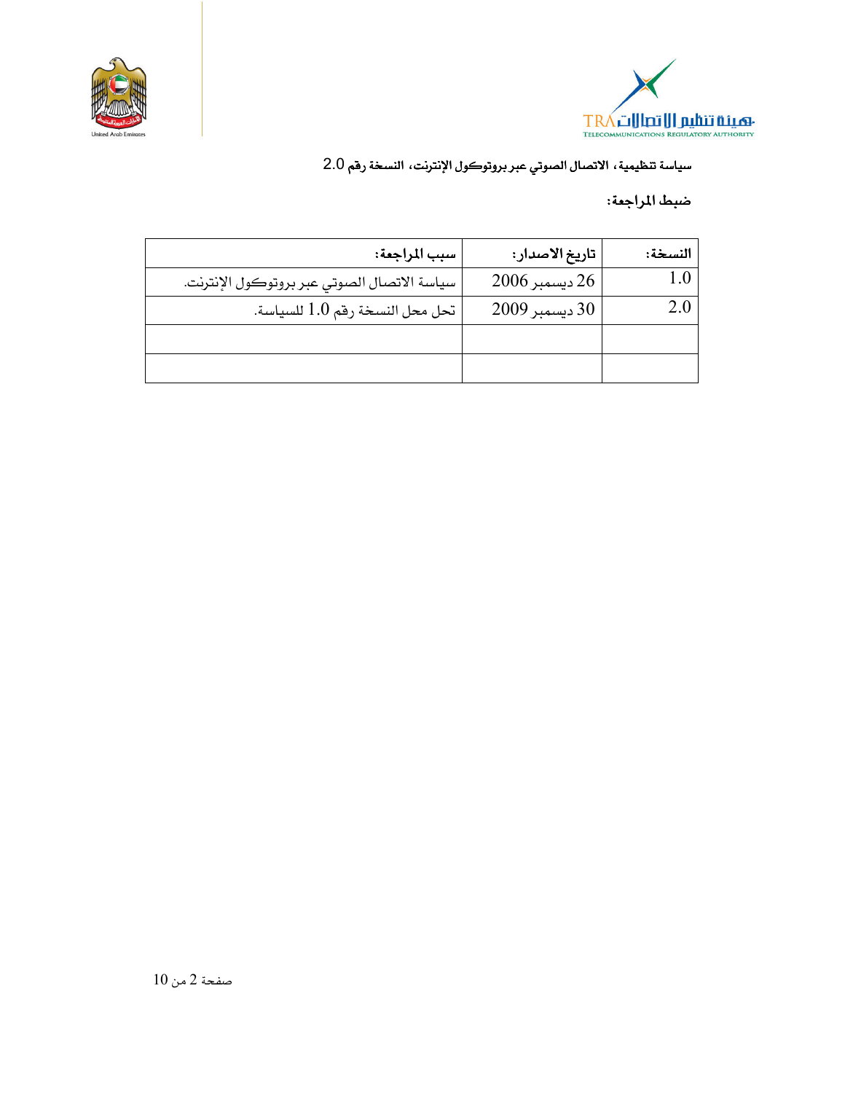



ضبط المراجعة:

| سبب المراجعة:                               | تاريخ الاصدار: | النسخة: |
|---------------------------------------------|----------------|---------|
| سياسة الاتصال الصوتي عبر بروتوكول الإنترنت. | 26 ديسمبر 2006 |         |
| تحل محل النسخة رقم 1.0 للسياسة.             | 30 ديسمبر 2009 |         |
|                                             |                |         |
|                                             |                |         |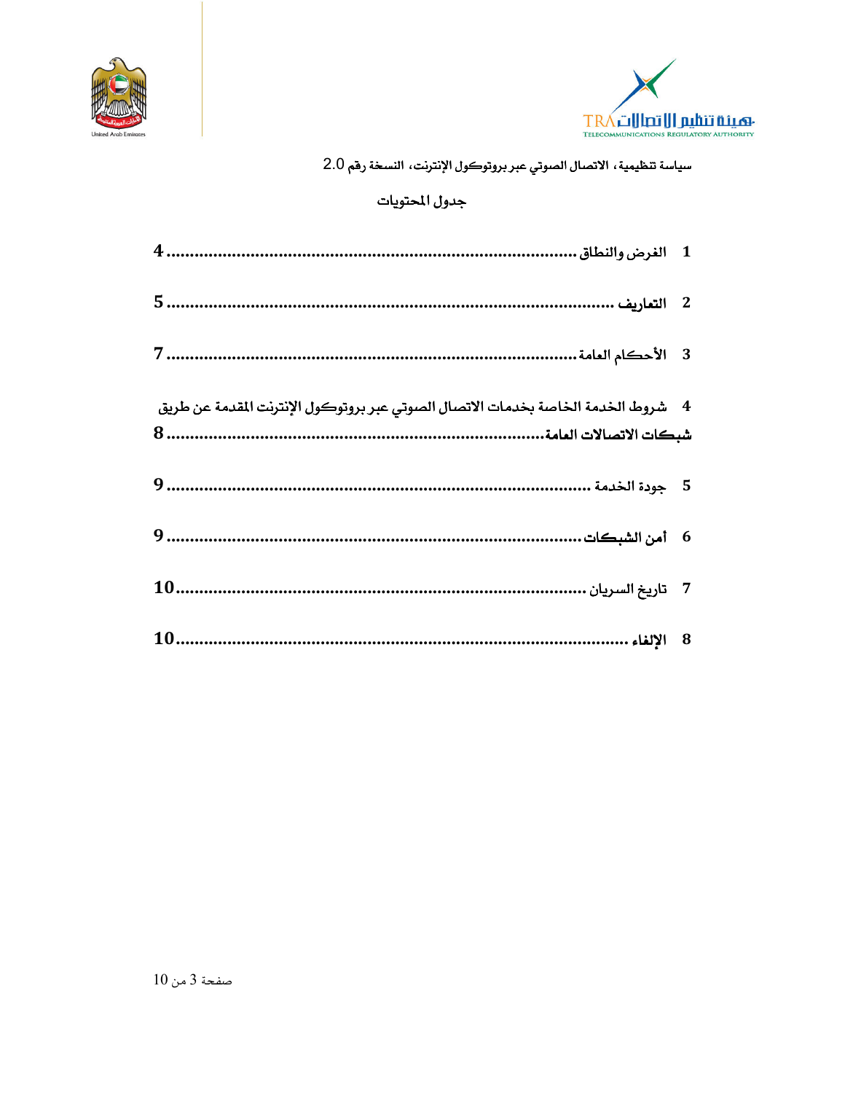



### جدول المحتويات

| 4 ٪ شروط الخدمة الخاصة بخدمات الاتصال الصوتي عبر بروتوكول الإنترنت المقدمة عن طريق |  |
|------------------------------------------------------------------------------------|--|
|                                                                                    |  |
|                                                                                    |  |
|                                                                                    |  |
|                                                                                    |  |
|                                                                                    |  |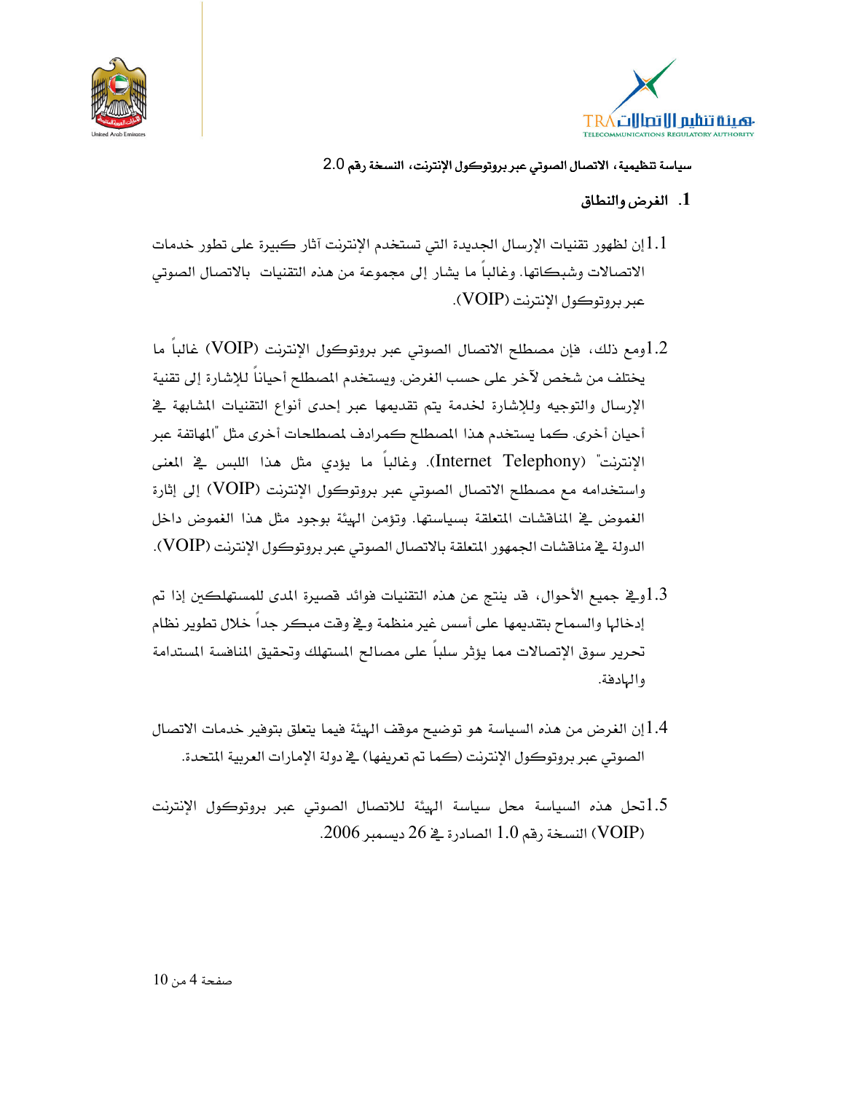



#### 1. الغرض والنطاق

إن لظهور تقنيات الإرسال الجديدة التي تستخدم الإنترنت آثار كبيرة على تطور خدمات  $1.1\,$ الاتصالات وشبكاتها. وغالباً ما يشار إلى مجموعة من هذه التقنيات بالاتصال الصوتي عبر بروتوكول الإنترنت (VOIP).

1.2ومع ذلك، فإن مصطلح الاتصال الصوتى عبر بروتوكول الإنترنت (VOIP) غالباً ما يختلف من شخص لآخر على حسب الغرض. ويستخدم المصطلح أحياناً للإشارة إلى تقنية الإرسال والتوجيه وللإشارة لخدمة يتم تقديمها عبر إحدى أنواع التقنيات المشابهة في أحيان أخرى. كما يستخدم هذا المصطلح كمرادف لمصطلحات أخرى مثل "المهاتفة عبر الإنترنت" (Internet Telephony). وغالباً ما يؤدي مثل هذا اللبس في المعنى واستخدامه مع مصطلح الاتصال الصوتي عبر بروتوكول الإنترنت (VOIP) إلى إثارة الغموض في المناقشات المتعلقة بسياستها. وتؤمن الهيئة بوجود مثل هذا الغموض داخل الدولة يخ منافشات الجمهور المتعلقة بالاتصال الصوتى عبر بروتوكول الإنترنت (VOIP).

- وي جميع الأحوال، قد ينتج عن هذه التقنيات فوائد قصيرة المدى للمستهلكين إذا تم $1.3$ إدخالها والسماح بتقديمها على أسس غير منظمة ويخ وقت مبكر جدا خلال تطوير نظام تحرير سوق الإتصالات مما يؤثر سلباً على مصالح المستهلك وتحقيق المنافسة المستدامة والهادفة.
- 1.4]ن الغرض من هذه السياسة هو توضيح موقف الهيئة فيما يتعلق بتوفير خدمات الاتصال الصوتي عبر بروتوكول الإنترنت (كما تم تعريفها) ـ2 دولة الإمارات العربية المتحدة.
- 1.5تحل هذه السياسة محل سياسة الهيئة للاتصال الصوتى عبر بروتوكول الإنترنت النسخة رقم 1.0 الصادرة في 26 ديسمبر 2006.  $( \text{VOIP})$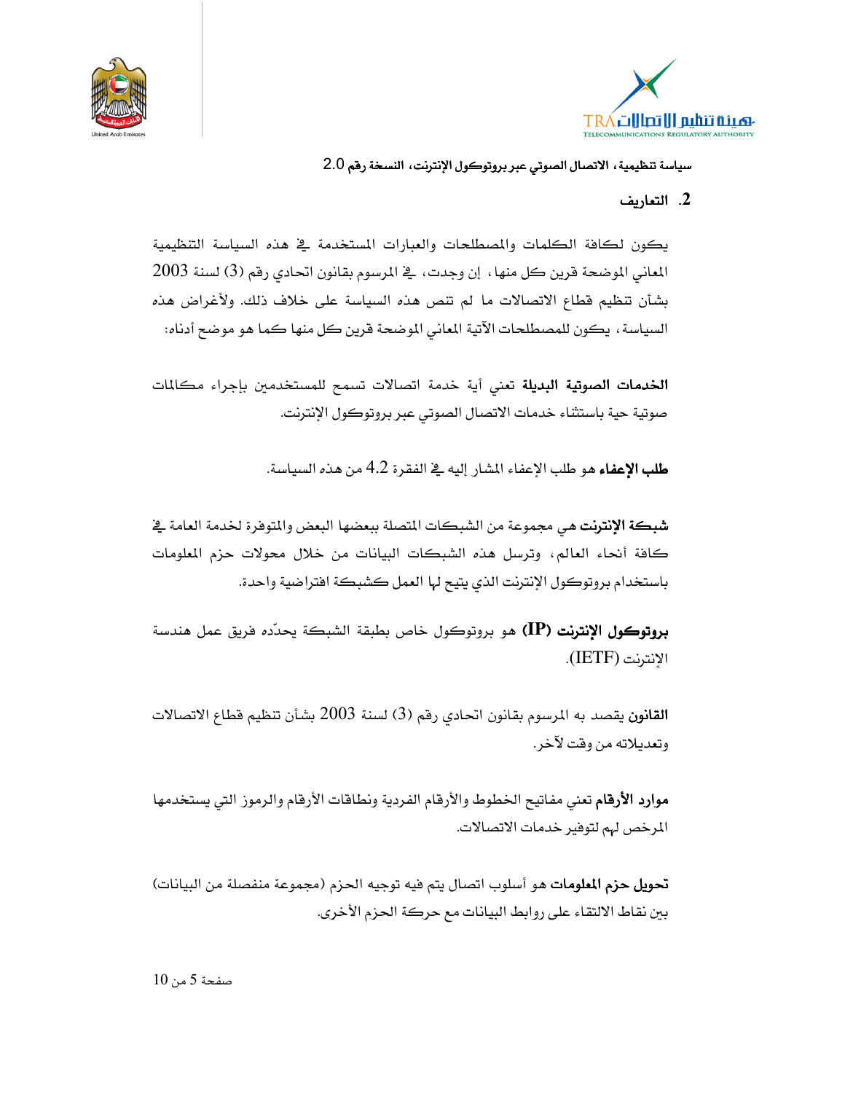



#### 2. التعاريف

يكون لكافة الكلمات والمعطلحات والعبارات المستخدمة فج هذه السياسة التنظيمية المعاني الموضحة قرين كل منها ، إن وجدت ، \_ المرسوم بقانون اتحادي رقم (3) لسنة 2003 بشأن تنظيم قطاع الاتصالات ما لم تنص هذه السياسة على خلاف ذلك. ولأغراض هذه السياسة، يكون للمصطلحات الآتية المعاني الموضحة قرين كل منها كما هو موضح أدناه:

**الخدمات الصوتية البديلة** تعنى أية خدمة اتصالات تسمح للمستخدمين بإجراء مكالمات صوتية حية باستثناء خدمات الاتصال الصوتي عبر بروتوكول الإنترنت.

**طلب الإعفاء** هو طلب الإعفاء المشار إليه ية الفقرة 4.2 من هذه السياسة.

**شبكة الإنترنت** هي مجموعة من الشبكات المتصلة ببعضها البعض والمتوفرة لخدمة العامة <u>ي</u>خ كافة أنحاء العالم، وترسل هذه الشبكات البيانات من خلال محولات حزم الملومات باستخدام بروتوكول الإنترنت الذى يتيح لها العمل كشبكة افتراضية واحدة.

بروتوكول الإنترنت (IP) هو بروتوكول خاص بطبقة الشبكة يحدّده فريق عمل هندسة الانترنت (IETF).

**القانون** يقصد به المرسوم بقانون اتحادي رقم (3) لسنة 2003 بشأن تنظيم قطاع الاتصالات وتعديلاته من وقت لآخر.

**موارد الأرقام** تعني مفاتيح الخطوط والأرقام الفردية ونطاقات الأرقام والرموز التي يستخدمها المرخص لهم لتوفير خدمات الاتصالات.

**تحويل حزم الملومات** هو أسلوب اتصال يتم فيه توجيه الحزم (مجموعة منفصلة من البيانات) بين نقاط الالتقاء على روابط البيانات مع حركة الحزم الأخرى.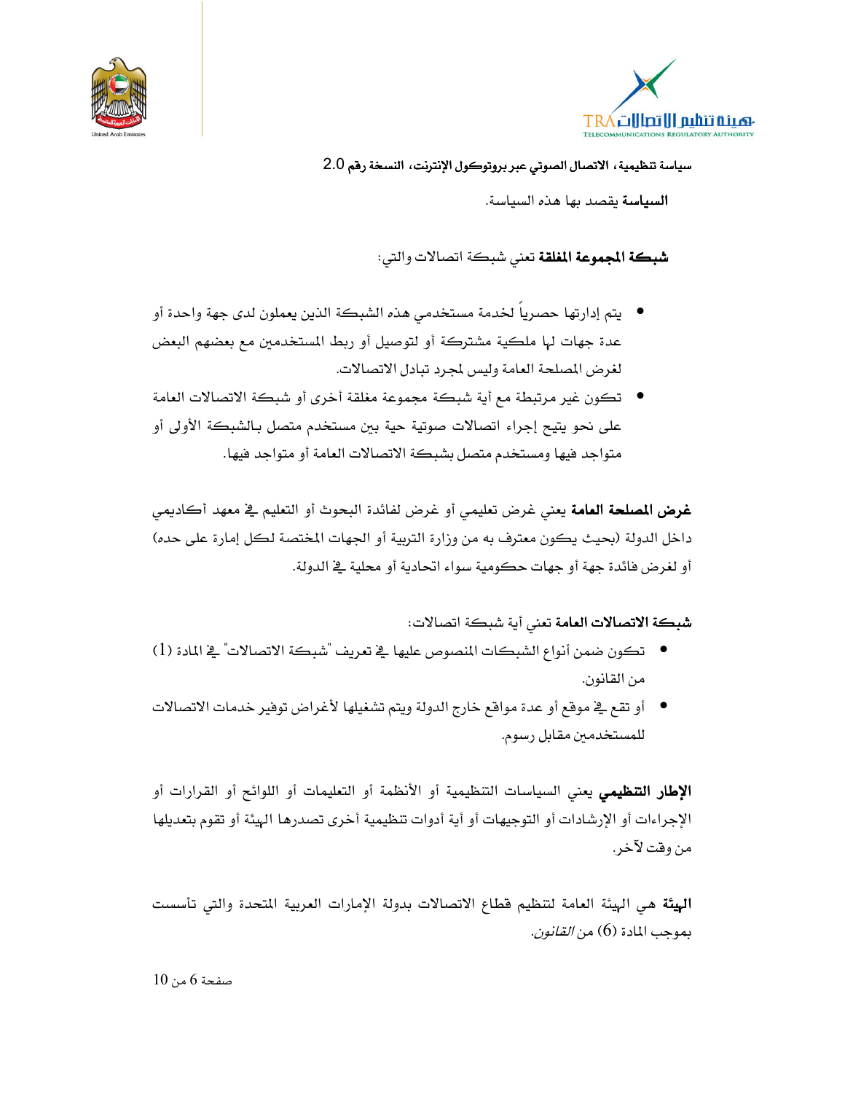



**السياسة** يقصد بها هذه السياسة.

**شبكة المجموعة المغلقة** تعني شبكة اتصالات والتي:

- يتم إدارتها حصرياً لخدمة مستخدمي هذه الشبكة الذين يعملون لدى جهة واحدة أو عدة جهات لها ملكية مشتركة أو لتوصيل أو ربط المستخدمين مع بعضهم البعض لغرض المصلحة العامة وليس لمجرد تبادل الاتصالات.
- تكون غير مرتبطة مع أية شبكة مجموعة مغلقة أخرى أو شبكة الاتصالات العامة على نحو يتيح إجراء اتصالات صوتية حية بين مستخدم متصل بـالشبكة الأولى أو متواجد فيها ومستخدم متصل بشبكة الاتصالات العامة أو متواجد فيها.

**غرض المصلحة العامة** يعني غرض تعليمي أو غرض لفائدة البحوث أو التعليم في معهد أكاديمي داخل الدولة (بحيث يكون معترف به من وزارة التربية أو الجهات المختصة لكل إمارة على حده) أو لغرض فائدة جهة أو جهات حكومية سواء اتحادية أو محلية في الدولة.

شبكة الاتصالات العامة تعنى أية شبكة اتصالات:

- تكون ضمن أنواع الشبكات المنصوص عليها في تعريف "شبكة الاتصالات" في المادة (1) من القانون.
- أو تقع في موقع أو عدة مواقع خارج الدولة ويتم تشغيلها لأغراض توفير خدمات الاتصالات للمستخدمين مقابل رسوم.

**الإطار التنظيمي** يعني السياسات التنظيمية أو الأنظمة أو التعليمات أو اللوائح أو القرارات أو الإجراءات أو الإرشادات أو التوجيهات أو أية أدوات تنظيمية أخرى تصدرها الهيئة أو تقوم بتعديلها من وقت لآخر .

البيئة هي الهيئة العامة لتنظيم فطاع الاتصالات بدولة الإمارات العربية المتحدة والتي تأسست بموجب المادة (6) من *القانون*.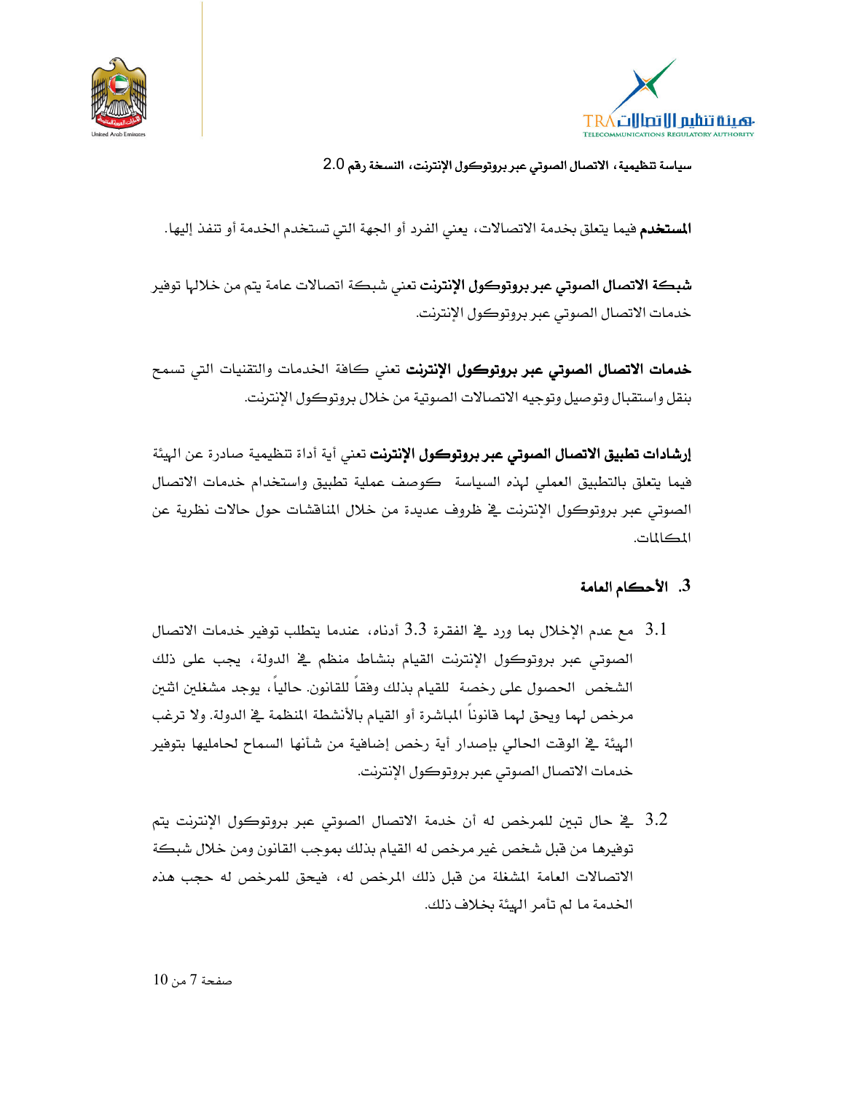



المستخدم فيما يتعلق بخدمة الاتصالات، يعني الفرد أو الجهة التي تستخدم الخدمة أو تنفذ إليها.

**شبكة الاتصال الصوتي عبر بروتوكول الإنترنت** تعني شبكة اتصالات عامة يتم من خلالها توفير خدمات الاتصال الصوتي عبر بروتوكول الإنترنت.

خدمات الاتصال الصوتى عبر بروتوكول الإنترنت تعنى كافة الخدمات والتقنيات التى تسمح بنقل واستقبال وتوصيل وتوجيه الاتصالات الصوتية من خلال بروتوكول الإنترنت.

**إرشادات تطبيق الاتصال الصوتي عبر بروتوكول الإنترنت** تعني أية أداة تنظيمية صادرة عن الهيئة فيما يتعلق بالتطبيق العملى لهذه السياسة كوصف عملية تطبيق واستخدام خدمات الاتصال الصوتي عبر بروتوكول الإنترنت في ظروف عديدة من خلال المنافشات حول حالات نظرية عن المكالمات.

#### 3. الأحكام العامة

- 3.1 | مع عدم الإخلال بما ورد \_2 الفقرة 3.3 أدناه، عندما يتطلب توفير خدمات الاتصال . الصوتي عبر بروتوكول الإنترنت القيام بنشاط منظم في الدولة، يجب على ذلك الشخص الحصول على رخصة للقيام بذلك وفقاً للقانون. حالياً ، يوجد مشغلين اثنين مرخص لهما ويحق لهما فانوناً الماشرة أو القيام بالأنشطة المنظمة في الدولة. ولا ترغب الهيئة ڤ الوقت الحالي بإصدار أية رخص إضافية من شأنها السماح لحامليها بتوفير خدمات الاتصال الصوتي عبر بروتوكول الإنترنت.
- 3.2 \_ في حال تبين للمرخص له أن خدمة الاتصال الصوتي عبر بروتوكول الإنترنت يتم توفيرها من قبل شخص غير مرخص له القيام بذلك بموجب القانون ومن خلال شبكة الاتصالات العامة المشغلة من قبل ذلك المرخص له، فيحق للمرخص له حجب هذه الخدمة ما لم تأمر الهئة بخلاف ذلك.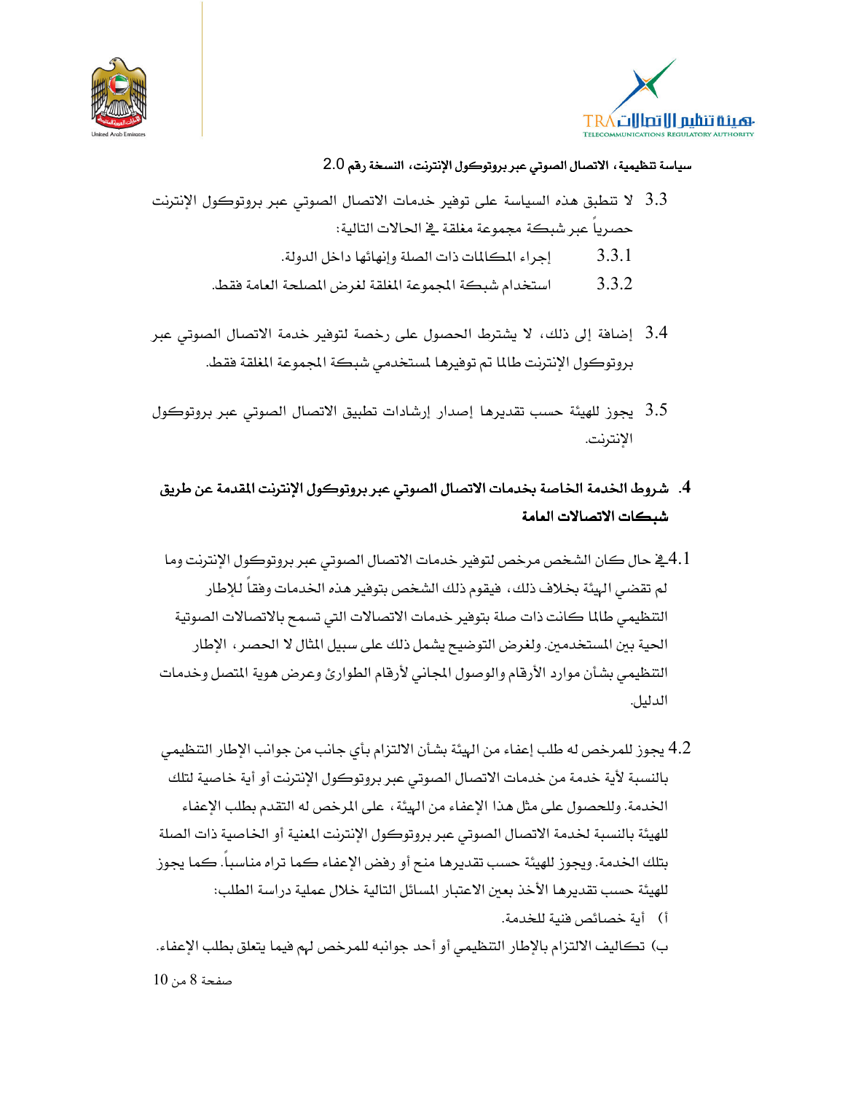



- 3.3 لا تنطبق هذه السياسة على توفير خدمات الاتصال الصوتي عبر بروتوكول الإنترنت حصريا عبر شبكة محموعة مغلقة في الحالات التالية:
	- 3.3.1 إجراء المكالمات ذات الصلة وإنهائها داخل الدولة.
	- 3.3.2 استخدام شبكة المجموعة المغلقة لغرض المصلحة العامة فقط.
- 3.4 إضافة إلى ذلك، لا يشترط الحصول على رخصة لتوفير خدمة الاتصال الصوتي عبر بروتوكول الإنترنت طالما تم توفيرها لمستخدمي شبكة المجموعة المغلقة فقط.
- 3.5٪ يجوز للهيئة حسب تقديرها إصدار إرشادات تطبيق الاتصال الصوتي عبر بروتوكول الإنترنت.
- 4. شروط الخدمة الخاصة بخدمات الاتصال الصوتي عبر بروتوكول الإنترنت المقدمة عن طريق شبكات الاتصالات العامة
- 4.1ـفي حال كان الشخص مرخص لتوفير خدمات الاتصال الصوتي عبر بروتوكول الإنترنت وما لم تقضى الهيئة بخلاف ذلك، فيقوم ذلك الشخص بتوفير هذه الخدمات وفقا للإطار التنظيمي طالما كانت ذات صلة بتوفير خدمات الاتصالات التي تسمح بالاتصالات الصوتية الحية بين المستخدمين. ولغرض التوضيح يشمل ذلك على سبيل المثال لا الحصر ، الإطار التنظيمي بشأن موارد الأرقام والوصول المجاني لأرقام الطوارئ وعرض هوية المتصل وخدمات الدليل.
- 4.2 يجوز للمرخص له طلب إعفاء من الهيئة بشأن الالتزام بأى جانب من جوانب الإطار التنظيمي بالنسبة لأية خدمة من خدمات الاتصال الصوتي عبر بروتوكول الإنترنت أو أية خاصية لتلك الخدمة. وللحصول على مثل هذا الإعفاء من الهيئة ، على المرخص له التقدم بطلب الإعفاء للهيئة بالنسبة لخدمة الاتصال الصوتى عبر بروتوكول الإنترنت المنية أو الخاصية ذات الصلة بتلك الخدمة. ويجوز للهيئة حسب تقديرها منح أو رفض الإعفاء كما تراه مناسبا. كما يجوز للهيئة حسب تقديرها الأخذ بعبن الاعتبار المسائل التالية خلال عملية دراسة الطلب:
	- أ) أية خصائص فنية للخدمة.
- ب) تكاليف الالتزام بالإطار التنظيمي أو أحد جوانبه للمرخص لهم فيما يتعلق بطلب الإعفاء. صفحة 8 من 10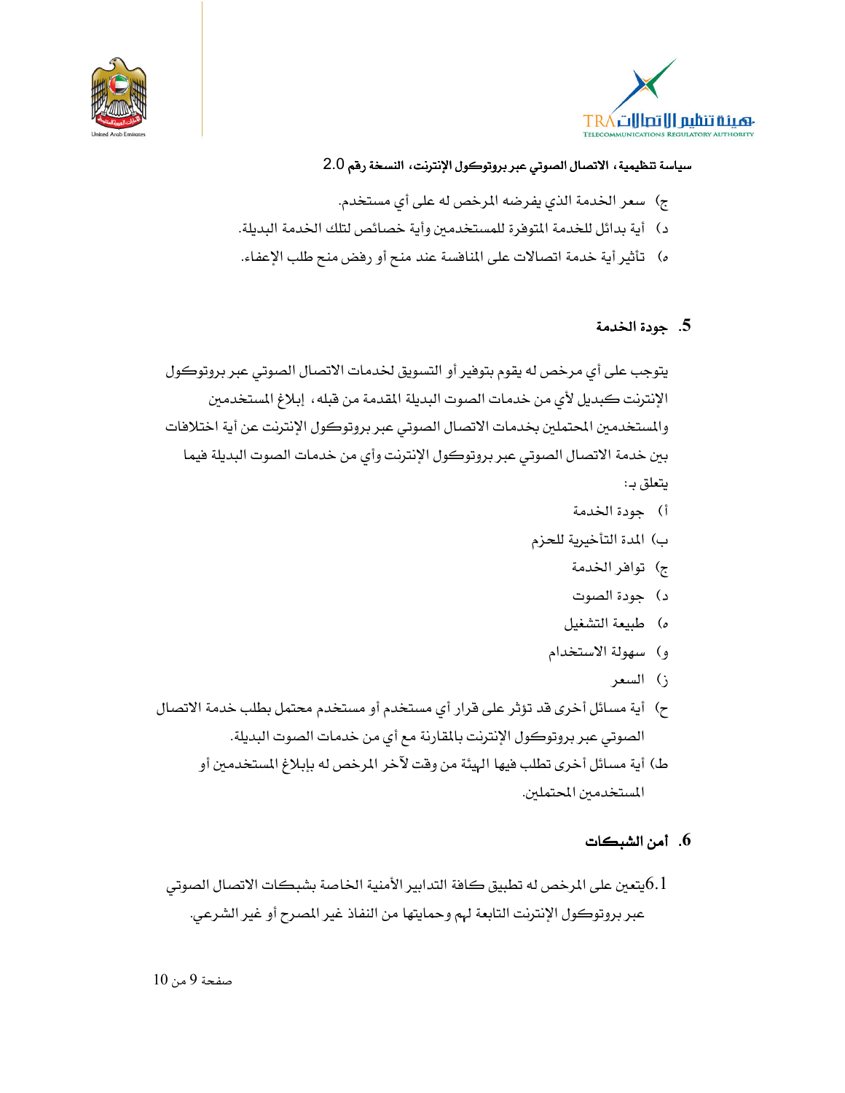



- ج) سعر الخدمة الذي يفرضه المرخص له على أي مستخدم.
- د) أية بدائل للخدمة المتوفرة للمستخدمين وأية خصائص لتلك الخدمة البديلة.
- ه) \_ تأثير أية خدمة اتصالات على المنافسة عند منح أو رفض منح طلب الإعفاء.

#### 5. جودة الخدمة

يتوجب على أي مرخص له يقوم بتوفير أو التسويق لخدمات الاتصال الصوتي عبر بروتوكول الإنترنت كبديل لأي من خدمات الصوت البديلة المقدمة من قبله، إبلاغ المستخدمين والمستخدمين المحتملين بخدمات الاتصال الصوتي عبر بروتوكول الإنترنت عن أية اختلافات بين خدمة الاتصال الصوتى عبر بروتوكول الإنترنت وأى من خدمات الصوت البديلة فيما يتعلق بـ:

- أ) جودة الخدمة
- ب) المدة التأخيرية للحزم
	- ج) توافر الخدمة
	- د) جودة الصوت
	- ه) طبيعة التشغيل
	- و) سهولة الاستخدام
		- ز) السعر
- ح) أية مسائل أخرى قد تؤثر على قرار أي مستخدم أو مستخدم محتمل بطلب خدمة الاتصال الصوتي عبر بروتوكول الإنترنت بالمقارنة مع أي من خدمات الصوت البديلة.
	- ط) أية مسائل أخرى تطلب فيها الهيئة من وقت لآخر المرخص له بإبلاغ المستخدمين أو المستخدمين المحتملين.

#### 6. أمن الشبكات

يتعين على المرخص له تطبيق كافة التدابير الأمنية الخاصة بشبكات الاتصال الصوتى $6.1\,$ عبر بروتوكول الإنترنت التابعة لهم وحمايتها من النفاذ غير المصرح أو غير الشرعي.